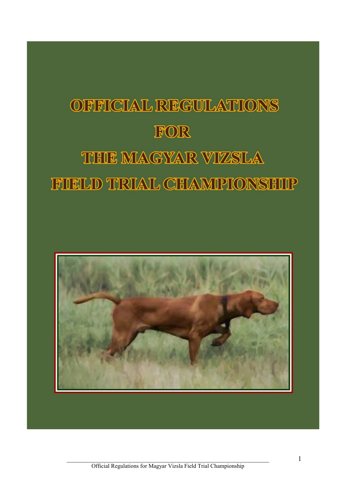# OFFICIAL REGULATIONS FOR THE MAGYAR VIZSLA FIELD TRIAL CHAMPIONSHIP

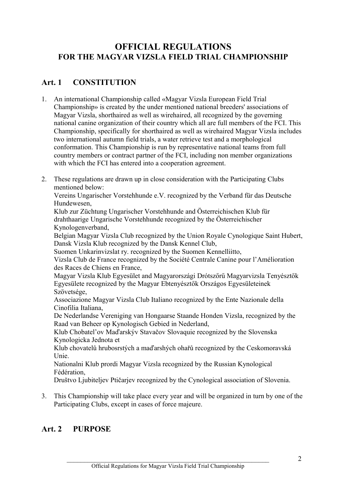# **OFFICIAL REGULATIONS FOR THE MAGYAR VIZSLA FIELD TRIAL CHAMPIONSHIP**

## **Art. 1 CONSTITUTION**

- 1. An international Championship called «Magyar Vizsla European Field Trial Championship» is created by the under mentioned national breeders' associations of Magyar Vizsla, shorthaired as well as wirehaired, all recognized by the governing national canine organization of their country which all are full members of the FCI. This Championship, specifically for shorthaired as well as wirehaired Magyar Vizsla includes two international autumn field trials, a water retrieve test and a morphological conformation. This Championship is run by representative national teams from full country members or contract partner of the FCI, including non member organizations with which the FCI has entered into a cooperation agreement.
- 2. These regulations are drawn up in close consideration with the Participating Clubs mentioned below:

Vereins Ungarischer Vorstehhunde e.V. recognized by the Verband für das Deutsche Hundewesen,

Klub zur Züchtung Ungarischer Vorstehhunde and Österreichischen Klub für drahthaarige Ungarische Vorstehhunde recognized by the Österreichischer Kynologenverband,

Belgian Magyar Vizsla Club recognized by the Union Royale Cynologique Saint Hubert, Dansk Vizsla Klub recognized by the Dansk Kennel Club,

Suomen Unkarinvizslat ry. recognized by the Suomen Kennelliitto,

Vizsla Club de France recognized by the Société Centrale Canine pour l'Amélioration des Races de Chiens en France,

Magyar Vizsla Klub Egyesület and Magyarországi Drótszőrű Magyarvizsla Tenyésztők Egyesülete recognized by the Magyar Ebtenyésztők Országos Egyesületeinek Szövetsége,

Associazione Magyar Vizsla Club Italiano recognized by the Ente Nazionale della Cinofilia Italiana,

De Nederlandse Vereniging van Hongaarse Staande Honden Vizsla, recognized by the Raad van Beheer op Kynologisch Gebied in Nederland,

Klub Chobatel'ov Maďarskýv Stavačov Slovaquie recognized by the Slovenska Kynologicka Jednota et

Klub chovatelů hrubosrstých a maďarshých ohařů recognized by the Ceskomoravská Unie.

Nationalni Klub prordi Magyar Vizsla recognized by the Russian Kynological Fédération,

Društvo Ljubiteljev Ptičarjev recognized by the Cynological association of Slovenia.

3. This Championship will take place every year and will be organized in turn by one of the Participating Clubs, except in cases of force majeure.

## **Art. 2 PURPOSE**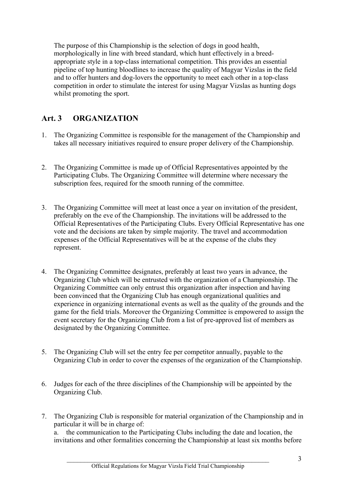The purpose of this Championship is the selection of dogs in good health, morphologically in line with breed standard, which hunt effectively in a breedappropriate style in a top-class international competition. This provides an essential pipeline of top hunting bloodlines to increase the quality of Magyar Vizslas in the field and to offer hunters and dog-lovers the opportunity to meet each other in a top-class competition in order to stimulate the interest for using Magyar Vizslas as hunting dogs whilst promoting the sport.

# **Art. 3 ORGANIZATION**

- 1. The Organizing Committee is responsible for the management of the Championship and takes all necessary initiatives required to ensure proper delivery of the Championship.
- 2. The Organizing Committee is made up of Official Representatives appointed by the Participating Clubs. The Organizing Committee will determine where necessary the subscription fees, required for the smooth running of the committee.
- 3. The Organizing Committee will meet at least once a year on invitation of the president, preferably on the eve of the Championship. The invitations will be addressed to the Official Representatives of the Participating Clubs. Every Official Representative has one vote and the decisions are taken by simple majority. The travel and accommodation expenses of the Official Representatives will be at the expense of the clubs they represent.
- 4. The Organizing Committee designates, preferably at least two years in advance, the Organizing Club which will be entrusted with the organization of a Championship. The Organizing Committee can only entrust this organization after inspection and having been convinced that the Organizing Club has enough organizational qualities and experience in organizing international events as well as the quality of the grounds and the game for the field trials. Moreover the Organizing Committee is empowered to assign the event secretary for the Organizing Club from a list of pre-approved list of members as designated by the Organizing Committee.
- 5. The Organizing Club will set the entry fee per competitor annually, payable to the Organizing Club in order to cover the expenses of the organization of the Championship.
- 6. Judges for each of the three disciplines of the Championship will be appointed by the Organizing Club.
- 7. The Organizing Club is responsible for material organization of the Championship and in particular it will be in charge of: a. the communication to the Participating Clubs including the date and location, the invitations and other formalities concerning the Championship at least six months before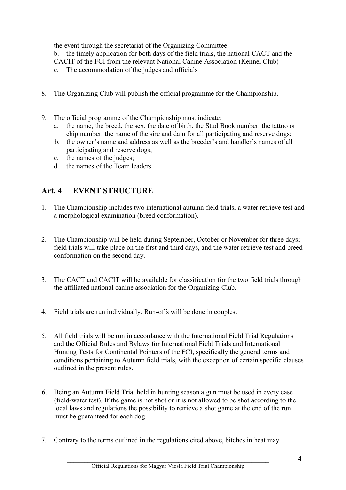the event through the secretariat of the Organizing Committee;

b. the timely application for both days of the field trials, the national CACT and the CACIT of the FCI from the relevant National Canine Association (Kennel Club)

- c. The accommodation of the judges and officials
- 8. The Organizing Club will publish the official programme for the Championship.
- 9. The official programme of the Championship must indicate:
	- a. the name, the breed, the sex, the date of birth, the Stud Book number, the tattoo or chip number, the name of the sire and dam for all participating and reserve dogs;
	- b. the owner's name and address as well as the breeder's and handler's names of all participating and reserve dogs;
	- c. the names of the judges;
	- d. the names of the Team leaders.

## **Art. 4 EVENT STRUCTURE**

- 1. The Championship includes two international autumn field trials, a water retrieve test and a morphological examination (breed conformation).
- 2. The Championship will be held during September, October or November for three days; field trials will take place on the first and third days, and the water retrieve test and breed conformation on the second day.
- 3. The CACT and CACIT will be available for classification for the two field trials through the affiliated national canine association for the Organizing Club.
- 4. Field trials are run individually. Run-offs will be done in couples.
- 5. All field trials will be run in accordance with the International Field Trial Regulations and the Official Rules and Bylaws for International Field Trials and International Hunting Tests for Continental Pointers of the FCI, specifically the general terms and conditions pertaining to Autumn field trials, with the exception of certain specific clauses outlined in the present rules.
- 6. Being an Autumn Field Trial held in hunting season a gun must be used in every case (field-water test). If the game is not shot or it is not allowed to be shot according to the local laws and regulations the possibility to retrieve a shot game at the end of the run must be guaranteed for each dog.
- 7. Contrary to the terms outlined in the regulations cited above, bitches in heat may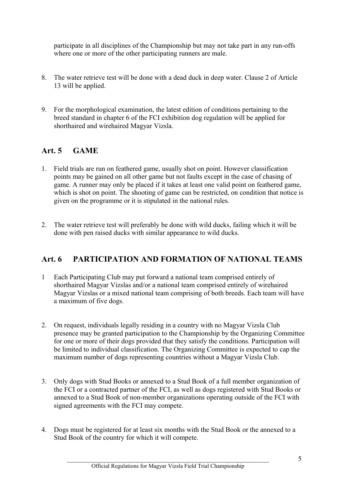participate in all disciplines of the Championship but may not take part in any run-offs where one or more of the other participating runners are male.

- 8. The water retrieve test will be done with a dead duck in deep water. Clause 2 of Article 13 will be applied.
- 9. For the morphological examination, the latest edition of conditions pertaining to the breed standard in chapter 6 of the FCI exhibition dog regulation will be applied for shorthaired and wirehaired Magyar Vizsla.

# **Art. 5 GAME**

- 1. Field trials are run on feathered game, usually shot on point. However classification points may be gained on all other game but not faults except in the case of chasing of game. A runner may only be placed if it takes at least one valid point on feathered game, which is shot on point. The shooting of game can be restricted, on condition that notice is given on the programme or it is stipulated in the national rules.
- 2. The water retrieve test will preferably be done with wild ducks, failing which it will be done with pen raised ducks with similar appearance to wild ducks.

## **Art. 6 PARTICIPATION AND FORMATION OF NATIONAL TEAMS**

- 1 Each Participating Club may put forward a national team comprised entirely of shorthaired Magyar Vizslas and/or a national team comprised entirely of wirehaired Magyar Vizslas or a mixed national team comprising of both breeds. Each team will have a maximum of five dogs.
- 2. On request, individuals legally residing in a country with no Magyar Vizsla Club presence may be granted participation to the Championship by the Organizing Committee for one or more of their dogs provided that they satisfy the conditions. Participation will be limited to individual classification. The Organizing Committee is expected to cap the maximum number of dogs representing countries without a Magyar Vizsla Club.
- 3. Only dogs with Stud Books or annexed to a Stud Book of a full member organization of the FCI or a contracted partner of the FCI, as well as dogs registered with Stud Books or annexed to a Stud Book of non-member organizations operating outside of the FCI with signed agreements with the FCI may compete.
- 4. Dogs must be registered for at least six months with the Stud Book or the annexed to a Stud Book of the country for which it will compete.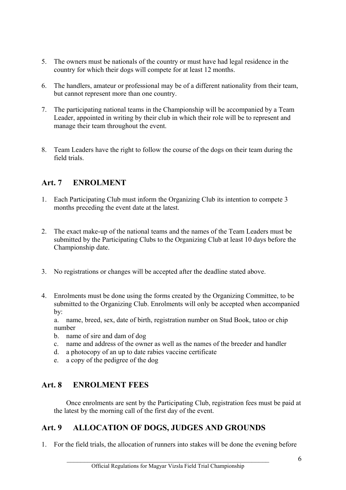- 5. The owners must be nationals of the country or must have had legal residence in the country for which their dogs will compete for at least 12 months.
- 6. The handlers, amateur or professional may be of a different nationality from their team, but cannot represent more than one country.
- 7. The participating national teams in the Championship will be accompanied by a Team Leader, appointed in writing by their club in which their role will be to represent and manage their team throughout the event.
- 8. Team Leaders have the right to follow the course of the dogs on their team during the field trials.

#### **Art. 7 ENROLMENT**

- 1. Each Participating Club must inform the Organizing Club its intention to compete 3 months preceding the event date at the latest.
- 2. The exact make-up of the national teams and the names of the Team Leaders must be submitted by the Participating Clubs to the Organizing Club at least 10 days before the Championship date.
- 3. No registrations or changes will be accepted after the deadline stated above.
- 4. Enrolments must be done using the forms created by the Organizing Committee, to be submitted to the Organizing Club. Enrolments will only be accepted when accompanied by:

a. name, breed, sex, date of birth, registration number on Stud Book, tatoo or chip number

- b. name of sire and dam of dog
- c. name and address of the owner as well as the names of the breeder and handler
- d. a photocopy of an up to date rabies vaccine certificate
- e. a copy of the pedigree of the dog

#### **Art. 8 ENROLMENT FEES**

Once enrolments are sent by the Participating Club, registration fees must be paid at the latest by the morning call of the first day of the event.

## **Art. 9 ALLOCATION OF DOGS, JUDGES AND GROUNDS**

1. For the field trials, the allocation of runners into stakes will be done the evening before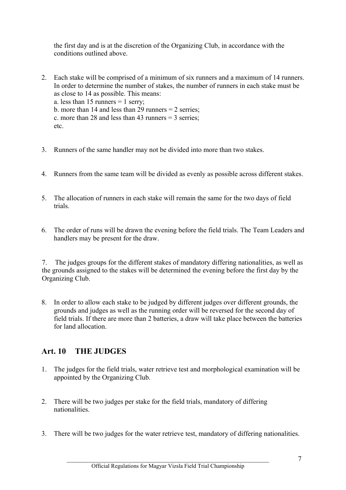the first day and is at the discretion of the Organizing Club, in accordance with the conditions outlined above.

- 2. Each stake will be comprised of a minimum of six runners and a maximum of 14 runners. In order to determine the number of stakes, the number of runners in each stake must be as close to 14 as possible. This means: a. less than  $15$  runners  $= 1$  serry: b. more than 14 and less than 29 runners  $= 2$  serries; c. more than 28 and less than 43 runners = 3 serries; etc.
- 3. Runners of the same handler may not be divided into more than two stakes.
- 4. Runners from the same team will be divided as evenly as possible across different stakes.
- 5. The allocation of runners in each stake will remain the same for the two days of field trials.
- 6. The order of runs will be drawn the evening before the field trials. The Team Leaders and handlers may be present for the draw.

7. The judges groups for the different stakes of mandatory differing nationalities, as well as the grounds assigned to the stakes will be determined the evening before the first day by the Organizing Club.

8. In order to allow each stake to be judged by different judges over different grounds, the grounds and judges as well as the running order will be reversed for the second day of field trials. If there are more than 2 batteries, a draw will take place between the batteries for land allocation.

## **Art. 10 THE JUDGES**

- 1. The judges for the field trials, water retrieve test and morphological examination will be appointed by the Organizing Club.
- 2. There will be two judges per stake for the field trials, mandatory of differing nationalities.
- 3. There will be two judges for the water retrieve test, mandatory of differing nationalities.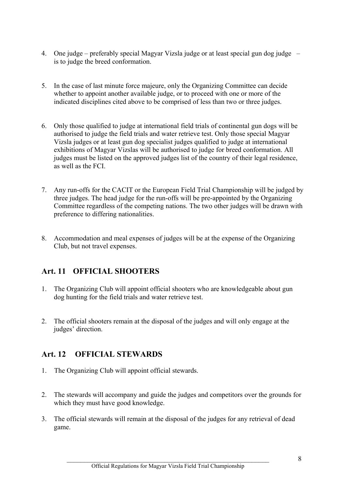- 4. One judge preferably special Magyar Vizsla judge or at least special gun dog judge is to judge the breed conformation.
- 5. In the case of last minute force majeure, only the Organizing Committee can decide whether to appoint another available judge, or to proceed with one or more of the indicated disciplines cited above to be comprised of less than two or three judges.
- 6. Only those qualified to judge at international field trials of continental gun dogs will be authorised to judge the field trials and water retrieve test. Only those special Magyar Vizsla judges or at least gun dog specialist judges qualified to judge at international exhibitions of Magyar Vizslas will be authorised to judge for breed conformation. All judges must be listed on the approved judges list of the country of their legal residence, as well as the FCI.
- 7. Any run-offs for the CACIT or the European Field Trial Championship will be judged by three judges. The head judge for the run-offs will be pre-appointed by the Organizing Committee regardless of the competing nations. The two other judges will be drawn with preference to differing nationalities.
- 8. Accommodation and meal expenses of judges will be at the expense of the Organizing Club, but not travel expenses.

## **Art. 11 OFFICIAL SHOOTERS**

- 1. The Organizing Club will appoint official shooters who are knowledgeable about gun dog hunting for the field trials and water retrieve test.
- 2. The official shooters remain at the disposal of the judges and will only engage at the judges' direction.

## **Art. 12 OFFICIAL STEWARDS**

- 1. The Organizing Club will appoint official stewards.
- 2. The stewards will accompany and guide the judges and competitors over the grounds for which they must have good knowledge.
- 3. The official stewards will remain at the disposal of the judges for any retrieval of dead game.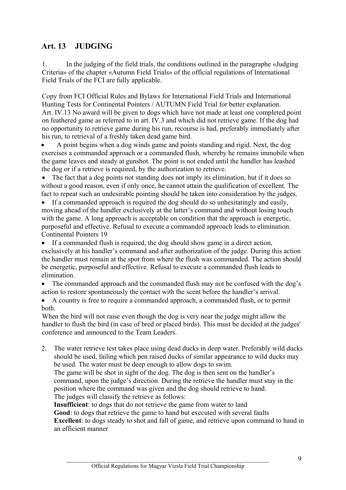# **Art. 13 JUDGING**

1. In the judging of the field trials, the conditions outlined in the paragraphe «Judging Criteria» of the chapter «Autumn Field Trials» of the official regulations of International Field Trials of the FCI are fully applicable.

Copy from FCI Official Rules and Bylaws for International Field Trials and International Hunting Tests for Continental Pointers / AUTUMN Field Trial for better explanation. Art. IV.13 No award will be given to dogs which have not made at least one completed point on feathered game as referred to in art. IV.3 and which did not retrieve game. If the dog had no opportunity to retrieve game during his run, recourse is had, preferably immediately after his run, to retrieval of a freshly taken dead game bird.

 A point begins when a dog winds game and points standing and rigid. Next, the dog exercises a commanded approach or a commanded flush, whereby he remains immobile when the game leaves and steady at gunshot. The point is not ended until the handler has leashed the dog or if a retrieve is required, by the authorization to retrieve.

• The fact that a dog points not standing does not imply its elimination, but if it does so without a good reason, even if only once, he cannot attain the qualification of excellent. The fact to repeat such an undesirable pointing should be taken into consideration by the judges.

 If a commanded approach is required the dog should do so unhesitatingly and easily, moving ahead of the handler exclusively at the latter's command and without losing touch with the game. A long approach is acceptable on condition that the approach is energetic, purposeful and effective. Refusal to execute a commanded approach leads to elimination. Continental Pointers 19

 If a commanded flush is required, the dog should show game in a direct action, exclusively at his handler's command and after authorization of the judge. During this action the handler must remain at the spot from where the flush was commanded. The action should be energetic, purposeful and effective. Refusal to execute a commanded flush leads to elimination.

• The commanded approach and the commanded flush may not be confused with the dog's action to restore spontaneously the contact with the scent before the handler's arrival.

 A country is free to require a commanded approach, a commanded flush, or to permit both.

When the bird will not raise even though the dog is very near the judge might allow the handler to flush the bird (in case of bred or placed birds). This must be decided at the judges' conference and announced to the Team Leaders.

2. The water retrieve test takes place using dead ducks in deep water. Preferably wild ducks should be used, failing which pen raised ducks of similar appearance to wild ducks may be used. The water must be deep enough to allow dogs to swim. The game will be shot in sight of the dog. The dog is then sent on the handler's command, upon the judge's direction. During the retrieve the handler must stay in the position where the command was given and the dog should retrieve to hand. The judges will classify the retrieve as follows:

**Insufficient**: to dogs that do not retrieve the game from water to land

**Good**: to dogs that retrieve the game to hand but executed with several faults

**Excellent**: to dogs steady to shot and fall of game, and retrieve upon command to hand in an efficient manner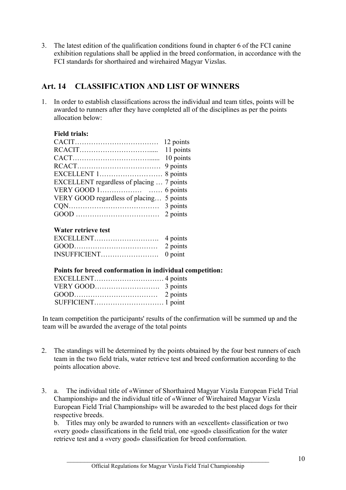3. The latest edition of the qualification conditions found in chapter 6 of the FCI canine exhibition regulations shall be applied in the breed conformation, in accordance with the FCI standards for shorthaired and wirehaired Magyar Vizslas.

## **Art. 14 CLASSIFICATION AND LIST OF WINNERS**

1. In order to establish classifications across the individual and team titles, points will be awarded to runners after they have completed all of the disciplines as per the points allocation below:

#### **Field trials:**

|                                           | 12 points |
|-------------------------------------------|-----------|
|                                           | 11 points |
|                                           | 10 points |
|                                           |           |
|                                           |           |
| EXCELLENT regardless of placing  7 points |           |
|                                           |           |
| VERY GOOD regardless of placing 5 points  |           |
|                                           |           |
|                                           |           |
|                                           |           |

#### **Water retrieve test**

#### **Points for breed conformation in individual competition:**

In team competition the participants' results of the confirmation will be summed up and the team will be awarded the average of the total points

- 2. The standings will be determined by the points obtained by the four best runners of each team in the two field trials, water retrieve test and breed conformation according to the points allocation above.
- 3. a. The individual title of «Winner of Shorthaired Magyar Vizsla European Field Trial Championship» and the individual title of «Winner of Wirehaired Magyar Vizsla European Field Trial Championship» will be awareded to the best placed dogs for their respective breeds.

b. Titles may only be awarded to runners with an «excellent» classification or two «very good» classifications in the field trial, one «good» classification for the water retrieve test and a «very good» classification for breed conformation.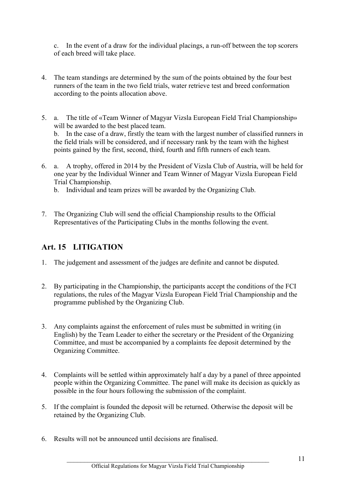c. In the event of a draw for the individual placings, a run-off between the top scorers of each breed will take place.

- 4. The team standings are determined by the sum of the points obtained by the four best runners of the team in the two field trials, water retrieve test and breed conformation according to the points allocation above.
- 5. a. The title of «Team Winner of Magyar Vizsla European Field Trial Championship» will be awarded to the best placed team. b. In the case of a draw, firstly the team with the largest number of classified runners in the field trials will be considered, and if necessary rank by the team with the highest points gained by the first, second, third, fourth and fifth runners of each team.
- 6. a. A trophy, offered in 2014 by the President of Vizsla Club of Austria, will be held for one year by the Individual Winner and Team Winner of Magyar Vizsla European Field Trial Championship.
	- b. Individual and team prizes will be awarded by the Organizing Club.
- 7. The Organizing Club will send the official Championship results to the Official Representatives of the Participating Clubs in the months following the event.

## **Art. 15 LITIGATION**

- 1. The judgement and assessment of the judges are definite and cannot be disputed.
- 2. By participating in the Championship, the participants accept the conditions of the FCI regulations, the rules of the Magyar Vizsla European Field Trial Championship and the programme published by the Organizing Club.
- 3. Any complaints against the enforcement of rules must be submitted in writing (in English) by the Team Leader to either the secretary or the President of the Organizing Committee, and must be accompanied by a complaints fee deposit determined by the Organizing Committee.
- 4. Complaints will be settled within approximately half a day by a panel of three appointed people within the Organizing Committee. The panel will make its decision as quickly as possible in the four hours following the submission of the complaint.
- 5. If the complaint is founded the deposit will be returned. Otherwise the deposit will be retained by the Organizing Club.
- 6. Results will not be announced until decisions are finalised.